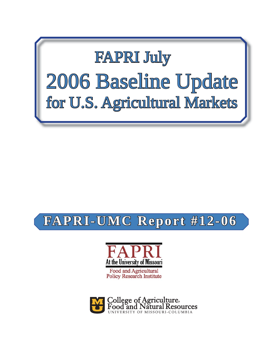

# **FAPRI-UMC Report #12-06 APRI-UMC**



Food and Agricultural<br>Policy Research Institute

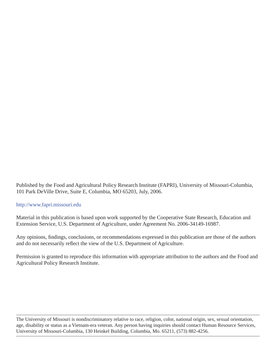Published by the Food and Agricultural Policy Research Institute (FAPRI), University of Missouri-Columbia, 101 Park DeVille Drive, Suite E, Columbia, MO 65203, July, 2006.

#### http://www.fapri.missouri.edu

Material in this publication is based upon work supported by the Cooperative State Research, Education and Extension Service, U.S. Department of Agriculture, under Agreement No. 2006-34149-16987.

Any opinions, findings, conclusions, or recommendations expressed in this publication are those of the authors and do not necessarily reflect the view of the U.S. Department of Agriculture.

Permission is granted to reproduce this information with appropriate attribution to the authors and the Food and Agricultural Policy Research Institute.

The University of Missouri is nondiscriminatory relative to race, religion, color, national origin, sex, sexual orientation, age, disability or status as a Vietnam-era veteran. Any person having inquiries should contact Human Resource Services, University of Missouri-Columbia, 130 Heinkel Building, Columbia, Mo. 65211, (573) 882-4256.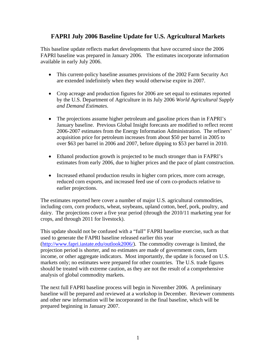### **FAPRI July 2006 Baseline Update for U.S. Agricultural Markets**

This baseline update reflects market developments that have occurred since the 2006 FAPRI baseline was prepared in January 2006. The estimates incorporate information available in early July 2006.

- This current-policy baseline assumes provisions of the 2002 Farm Security Act are extended indefinitely when they would otherwise expire in 2007.
- Crop acreage and production figures for 2006 are set equal to estimates reported by the U.S. Department of Agriculture in its July 2006 *World Agricultural Supply and Demand Estimates*.
- The projections assume higher petroleum and gasoline prices than in FAPRI's January baseline. Previous Global Insight forecasts are modified to reflect recent 2006-2007 estimates from the Energy Information Administration. The refiners' acquisition price for petroleum increases from about \$50 per barrel in 2005 to over \$63 per barrel in 2006 and 2007, before dipping to \$53 per barrel in 2010.
- Ethanol production growth is projected to be much stronger than in FAPRI's estimates from early 2006, due to higher prices and the pace of plant construction.
- Increased ethanol production results in higher corn prices, more corn acreage, reduced corn exports, and increased feed use of corn co-products relative to earlier projections.

The estimates reported here cover a number of major U.S. agricultural commodities, including corn, corn products, wheat, soybeans, upland cotton, beef, pork, poultry, and dairy. The projections cover a five year period (through the 2010/11 marketing year for crops, and through 2011 for livestock).

This update should not be confused with a "full" FAPRI baseline exercise, such as that used to generate the FAPRI baseline released earlier this year (http://www.fapri.iastate.edu/outlook2006/). The commodity coverage is limited, the projection period is shorter, and no estimates are made of government costs, farm income, or other aggregate indicators. Most importantly, the update is focused on U.S. markets only; no estimates were prepared for other countries. The U.S. trade figures should be treated with extreme caution, as they are not the result of a comprehensive analysis of global commodity markets.

The next full FAPRI baseline process will begin in November 2006. A preliminary baseline will be prepared and reviewed at a workshop in December. Reviewer comments and other new information will be incorporated in the final baseline, which will be prepared beginning in January 2007.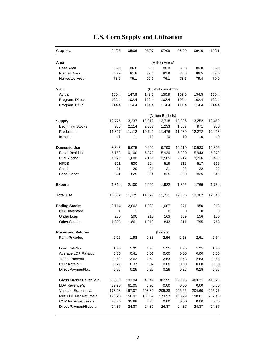| Crop Year                 | 04/05  | 05/06  | 06/07  | 07/08              | 08/09  | 09/10  | 10/11  |
|---------------------------|--------|--------|--------|--------------------|--------|--------|--------|
| Area                      |        |        |        | (Million Acres)    |        |        |        |
| Base Area                 | 86.8   | 86.8   | 86.8   | 86.8               | 86.8   | 86.8   | 86.8   |
| <b>Planted Area</b>       | 80.9   | 81.8   | 79.4   | 82.9               | 85.6   | 86.5   | 87.0   |
| Harvested Area            | 73.6   | 75.1   | 72.1   | 76.1               | 78.5   | 79.4   | 79.9   |
|                           |        |        |        |                    |        |        |        |
| Yield                     |        |        |        | (Bushels per Acre) |        |        |        |
| Actual                    | 160.4  | 147.9  | 149.0  | 150.9              | 152.6  | 154.5  | 156.4  |
| Program, Direct           | 102.4  | 102.4  | 102.4  | 102.4              | 102.4  | 102.4  | 102.4  |
| Program, CCP              | 114.4  | 114.4  | 114.4  | 114.4              | 114.4  | 114.4  | 114.4  |
|                           |        |        |        | (Million Bushels)  |        |        |        |
| <b>Supply</b>             | 12,776 | 13,237 | 12,812 | 12,718             | 13,006 | 13,252 | 13,458 |
| <b>Beginning Stocks</b>   | 958    | 2,114  | 2,062  | 1,233              | 1,007  | 971    | 950    |
| Production                | 11,807 | 11,112 | 10,740 | 11,476             | 11,989 | 12,272 | 12,498 |
| Imports                   | 11     | 11     | 10     | 10                 | 10     | 10     | 10     |
|                           |        |        |        |                    |        |        |        |
| <b>Domestic Use</b>       | 8,848  | 9,075  | 9,490  | 9,790              | 10,210 | 10,533 | 10,806 |
| Feed, Residual            | 6,162  | 6,100  | 5,970  | 5,920              | 5,930  | 5,943  | 5,973  |
| <b>Fuel Alcohol</b>       | 1,323  | 1,600  | 2,151  | 2,505              | 2,912  | 3,216  | 3,455  |
| <b>HFCS</b>               | 521    | 530    | 524    | 519                | 516    | 517    | 516    |
| Seed                      | 21     | 20     | 21     | 21                 | 22     | 22     | 22     |
| Food, Other               | 821    | 825    | 824    | 825                | 830    | 835    | 840    |
| <b>Exports</b>            | 1,814  | 2,100  | 2,090  | 1,922              | 1,825  | 1,769  | 1,734  |
| <b>Total Use</b>          | 10,662 | 11,175 | 11,579 | 11,711             | 12,035 | 12,302 | 12,540 |
| <b>Ending Stocks</b>      | 2,114  | 2,062  | 1,233  | 1,007              | 971    | 950    | 918    |
| <b>CCC</b> Inventory      | 1      | 1      | 0      | 0                  | 0      | 0      | 0      |
| Under Loan                | 280    | 200    | 213    | 163                | 159    | 156    | 150    |
| <b>Other Stocks</b>       | 1,833  | 1,861  | 1,019  | 843                | 811    | 795    | 768    |
|                           |        |        |        |                    |        |        |        |
| <b>Prices and Returns</b> |        |        |        | (Dollars)          |        |        |        |
| Farm Price/bu.            | 2.06   | 1.98   | 2.33   | 2.54               | 2.58   | 2.61   | 2.64   |
| Loan Rate/bu.             | 1.95   | 1.95   | 1.95   | 1.95               | 1.95   | 1.95   | 1.95   |
| Average LDP Rate/bu.      | 0.25   | 0.41   | 0.01   | 0.00               | 0.00   | 0.00   | 0.00   |
| Target Price/bu.          | 2.63   | 2.63   | 2.63   | 2.63               | 2.63   | 2.63   | 2.63   |
| CCP Rate/bu.              | 0.29   | 0.37   | 0.02   | 0.00               | 0.00   | 0.00   | 0.00   |
| Direct Payment/bu.        | 0.28   | 0.28   | 0.28   | 0.28               | 0.28   | 0.28   | 0.28   |
|                           |        |        |        |                    |        |        |        |
| Gross Market Revenue/a.   | 330.33 | 292.94 | 346.49 | 382.95             | 393.95 | 403.21 | 413.25 |
| LDP Revenue/a.            | 39.90  | 61.05  | 0.90   | 0.00               | 0.00   | 0.00   | 0.00   |
| Variable Expenses/a.      | 173.98 | 197.07 | 208.82 | 209.38             | 205.66 | 204.60 | 205.77 |
| Mkt+LDP Net Returns/a.    | 196.25 | 156.92 | 138.57 | 173.57             | 188.29 | 198.61 | 207.48 |
| CCP Revenue/Base a.       | 28.20  | 35.98  | 2.35   | 0.00               | 0.00   | 0.00   | 0.00   |
| Direct Payment/Base a.    | 24.37  | 24.37  | 24.37  | 24.37              | 24.37  | 24.37  | 24.37  |

# **U.S. Corn Supply and Utilization**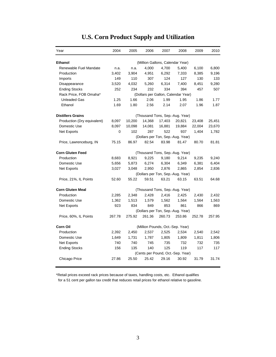| Year                        | 2004                                | 2005   | 2006   | 2007                              | 2008   | 2009   | 2010   |  |  |
|-----------------------------|-------------------------------------|--------|--------|-----------------------------------|--------|--------|--------|--|--|
| <b>Ethanol</b>              |                                     |        |        | (Million Gallons, Calendar Year)  |        |        |        |  |  |
| Renewable Fuel Mandate      | n.a.                                | n.a.   | 4,000  | 4,700                             | 5,400  | 6,100  | 6,800  |  |  |
| Production                  | 3,402                               | 3,904  | 4,951  | 6,292                             | 7,333  | 8,385  | 9,196  |  |  |
| Imports                     | 149                                 | 110    | 307    | 124                               | 127    | 130    | 133    |  |  |
| Disappearance               | 3,520                               | 4,032  | 5,260  | 6,314                             | 7,400  | 8,451  | 9,280  |  |  |
| <b>Ending Stocks</b>        | 252                                 | 234    | 232    | 334                               | 394    | 457    | 507    |  |  |
| Rack Price, FOB Omaha*      | (Dollars per Gallon, Calendar Year) |        |        |                                   |        |        |        |  |  |
| <b>Unleaded Gas</b>         | 1.25                                | 1.66   | 2.06   | 1.99                              | 1.95   | 1.86   | 1.77   |  |  |
| Ethanol                     | 1.69                                | 1.80   | 2.56   | 2.14                              | 2.07   | 1.96   | 1.87   |  |  |
| <b>Distillers Grains</b>    |                                     |        |        | (Thousand Tons, Sep.-Aug. Year)   |        |        |        |  |  |
| Production (Dry equivalent) | 8,097                               | 10,200 | 14,368 | 17,403                            | 20,821 | 23,408 | 25,451 |  |  |
| Domestic Use                | 8,097                               | 10,098 | 14,081 | 16,881                            | 19,884 | 22,004 | 23,670 |  |  |
| Net Exports                 | 0                                   | 102    | 287    | 522                               | 937    | 1,404  | 1,782  |  |  |
|                             |                                     |        |        | (Dollars per Ton, Sep.-Aug. Year) |        |        |        |  |  |
| Price, Lawrenceburg, IN     | 75.15                               | 86.97  | 82.54  | 83.98                             | 81.47  | 80.70  | 81.81  |  |  |
| <b>Corn Gluten Feed</b>     | (Thousand Tons, Sep.-Aug. Year)     |        |        |                                   |        |        |        |  |  |
| Production                  | 8,683                               | 8,921  | 9,225  | 9,180                             | 9,214  | 9,235  | 9,240  |  |  |
| Domestic Use                | 5,656                               | 5,873  | 6,274  | 6,304                             | 6,349  | 6,381  | 6,404  |  |  |
| Net Exports                 | 3,027                               | 3,048  | 2,950  | 2,876                             | 2,865  | 2,854  | 2,836  |  |  |
|                             |                                     |        |        | (Dollars per Ton, Sep.-Aug. Year) |        |        |        |  |  |
| Price, 21%, IL Points       | 52.60                               | 55.22  | 59.51  | 63.21                             | 63.15  | 63.51  | 64.68  |  |  |
| <b>Corn Gluten Meal</b>     |                                     |        |        | (Thousand Tons, Sep.-Aug. Year)   |        |        |        |  |  |
| Production                  | 2,285                               | 2,348  | 2,428  | 2,416                             | 2,425  | 2,430  | 2,432  |  |  |
| Domestic Use                | 1,362                               | 1,513  | 1,579  | 1,562                             | 1,564  | 1,564  | 1,563  |  |  |
| Net Exports                 | 923                                 | 834    | 849    | 853                               | 861    | 866    | 869    |  |  |
|                             |                                     |        |        | (Dollars per Ton, Sep.-Aug. Year) |        |        |        |  |  |
| Price, 60%, IL Points       | 267.78                              | 275.92 | 261.36 | 260.73                            | 253.86 | 252.78 | 257.95 |  |  |
| Corn Oil                    |                                     |        |        | (Million Pounds, Oct.-Sep. Year)  |        |        |        |  |  |
| Production                  | 2,392                               | 2,450  | 2,537  | 2,525                             | 2,534  | 2,540  | 2,542  |  |  |
| Domestic Use                | 1,649                               | 1,731  | 1,787  | 1,805                             | 1,809  | 1,811  | 1,806  |  |  |
| Net Exports                 | 740                                 | 740    | 745    | 735                               | 732    | 732    | 735    |  |  |
| <b>Ending Stocks</b>        | 156                                 | 135    | 140    | 125                               | 119    | 117    | 117    |  |  |
|                             |                                     |        |        | (Cents per Pound, Oct.-Sep. Year) |        |        |        |  |  |
| Chicago Price               | 27.86                               | 25.50  | 25.42  | 29.16                             | 30.92  | 31.79  | 31.74  |  |  |

### **U.S. Corn Product Supply and Utilization**

\*Retail prices exceed rack prices because of taxes, handling costs, etc. Ethanol qualifies for a 51 cent per gallon tax credit that reduces retail prices for ethanol relative to gasoline.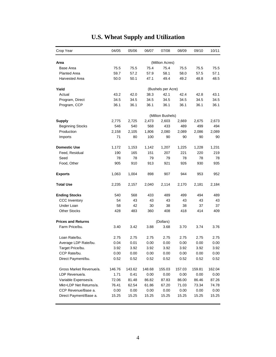| Crop Year                 | 04/05  | 05/06              | 06/07  | 07/08             | 08/09  | 09/10  | 10/11  |  |  |
|---------------------------|--------|--------------------|--------|-------------------|--------|--------|--------|--|--|
| Area                      |        |                    |        | (Million Acres)   |        |        |        |  |  |
| Base Area                 | 75.5   | 75.5               | 75.4   | 75.4              | 75.5   | 75.5   | 75.5   |  |  |
| <b>Planted Area</b>       | 59.7   | 57.2               | 57.9   | 58.1              | 58.0   | 57.5   | 57.1   |  |  |
| <b>Harvested Area</b>     | 50.0   | 50.1               | 47.1   | 49.4              | 49.2   | 48.8   | 48.5   |  |  |
| Yield                     |        | (Bushels per Acre) |        |                   |        |        |        |  |  |
| Actual                    | 43.2   | 42.0               | 38.3   | 42.1              | 42.4   | 42.8   | 43.1   |  |  |
| Program, Direct           | 34.5   | 34.5               | 34.5   | 34.5              | 34.5   | 34.5   | 34.5   |  |  |
| Program, CCP              | 36.1   | 36.1               | 36.1   | 36.1              | 36.1   | 36.1   | 36.1   |  |  |
|                           |        |                    |        |                   |        |        |        |  |  |
|                           |        |                    |        | (Million Bushels) |        |        |        |  |  |
| <b>Supply</b>             | 2,775  | 2,725              | 2,473  | 2,603             | 2,669  | 2,675  | 2,673  |  |  |
| <b>Beginning Stocks</b>   | 546    | 540                | 568    | 433               | 489    | 499    | 494    |  |  |
| Production                | 2,158  | 2,105              | 1,806  | 2,080             | 2,089  | 2,086  | 2,089  |  |  |
| Imports                   | 71     | 80                 | 100    | 90                | 90     | 90     | 90     |  |  |
| <b>Domestic Use</b>       | 1,172  | 1,153              | 1,142  | 1,207             | 1,225  | 1,228  | 1,231  |  |  |
| Feed, Residual            | 190    | 165                | 151    | 207               | 221    | 220    | 219    |  |  |
| Seed                      | 78     | 78                 | 79     | 79                | 78     | 78     | 78     |  |  |
| Food, Other               | 905    | 910                | 913    | 921               | 926    | 930    | 935    |  |  |
| <b>Exports</b>            | 1,063  | 1,004              | 898    | 907               | 944    | 953    | 952    |  |  |
| <b>Total Use</b>          | 2,235  | 2,157              | 2,040  | 2,114             | 2,170  | 2,181  | 2,184  |  |  |
| <b>Ending Stocks</b>      | 540    | 568                | 433    | 489               | 499    | 494    | 489    |  |  |
| <b>CCC Inventory</b>      | 54     | 43                 | 43     | 43                | 43     | 43     | 43     |  |  |
| Under Loan                | 58     | 42                 | 30     | 38                | 38     | 37     | 37     |  |  |
| <b>Other Stocks</b>       | 428    | 483                | 360    | 408               | 418    | 414    | 409    |  |  |
| <b>Prices and Returns</b> |        |                    |        | (Dollars)         |        |        |        |  |  |
| Farm Price/bu.            | 3.40   | 3.42               | 3.88   | 3.68              | 3.70   | 3.74   | 3.76   |  |  |
| Loan Rate/bu.             | 2.75   | 2.75               | 2.75   | 2.75              | 2.75   | 2.75   | 2.75   |  |  |
| Average LDP Rate/bu.      | 0.04   | 0.01               | 0.00   | 0.00              | 0.00   | 0.00   | 0.00   |  |  |
| Target Price/bu.          | 3.92   | 3.92               | 3.92   | 3.92              | 3.92   | 3.92   | 3.92   |  |  |
| CCP Rate/bu.              | 0.00   | 0.00               | 0.00   | 0.00              | 0.00   | 0.00   | 0.00   |  |  |
| Direct Payment/bu.        | 0.52   | 0.52               | 0.52   | 0.52              | 0.52   | 0.52   | 0.52   |  |  |
| Gross Market Revenue/a.   | 146.76 | 143.62             | 148.68 | 155.03            | 157.03 | 159.81 | 162.04 |  |  |
| LDP Revenue/a.            | 1.71   | 0.41               | 0.00   | 0.00              | 0.00   | 0.00   | 0.00   |  |  |
| Variable Expenses/a.      | 72.06  | 81.48              | 86.82  | 87.83             | 86.00  | 86.46  | 87.26  |  |  |
| Mkt+LDP Net Returns/a.    | 76.41  | 62.54              | 61.86  | 67.20             | 71.03  | 73.34  | 74.78  |  |  |
| CCP Revenue/Base a.       | 0.00   | 0.00               | 0.00   | 0.00              | 0.00   | 0.00   | 0.00   |  |  |
| Direct Payment/Base a.    | 15.25  | 15.25              | 15.25  | 15.25             | 15.25  | 15.25  | 15.25  |  |  |
|                           |        |                    |        |                   |        |        |        |  |  |

# **U.S. Wheat Supply and Utilization**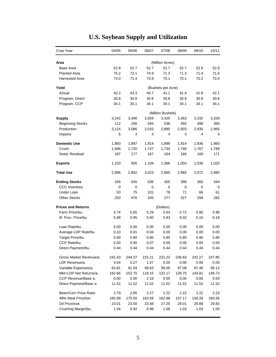| Crop Year                 | 04/05              | 05/06  | 06/07  | 07/08             | 08/09  | 09/10  | 10/11  |  |  |
|---------------------------|--------------------|--------|--------|-------------------|--------|--------|--------|--|--|
| Area                      |                    |        |        | (Million Acres)   |        |        |        |  |  |
| Base Area                 | 52.8               | 52.7   | 52.7   | 52.7              | 52.7   | 52.8   | 52.8   |  |  |
| <b>Planted Area</b>       | 75.2               | 72.1   | 74.9   | 71.3              | 71.3   | 71.4   | 71.6   |  |  |
| <b>Harvested Area</b>     | 74.0               | 71.4   | 73.9   | 70.1              | 70.1   | 70.2   | 70.4   |  |  |
| Yield                     | (Bushels per Acre) |        |        |                   |        |        |        |  |  |
| Actual                    | 42.2               | 43.3   | 40.7   | 41.1              | 41.4   | 41.8   | 42.1   |  |  |
| Program, Direct           | 30.8               | 30.8   | 30.8   | 30.8              | 30.8   | 30.8   | 30.8   |  |  |
| Program, CCP              | 34.1               | 34.1   | 34.1   | 34.1              | 34.1   | 34.1   | 34.1   |  |  |
|                           |                    |        |        | (Million Bushels) |        |        |        |  |  |
| <b>Supply</b>             | 3,242              | 3,346  | 3,559  | 3,420             | 3,363  | 3,332  | 3,329  |  |  |
| <b>Beginning Stocks</b>   | 112                | 256    | 545    | 536               | 455    | 398    | 360    |  |  |
| Production                | 3,124              | 3,086  | 3,010  | 2,880             | 2,903  | 2,930  | 2,965  |  |  |
| Imports                   | 6                  | 4      | 4      | 4                 | 4      | 4      | 4      |  |  |
| <b>Domestic Use</b>       | 1,883              | 1,897  | 1,914  | 1,899             | 1,914  | 1,936  | 1,960  |  |  |
| Crush                     | 1,696              | 1,720  | 1,747  | 1,734             | 1,748  | 1,767  | 1,789  |  |  |
| Seed, Residual            | 187                | 177    | 167    | 164               | 166    | 169    | 171    |  |  |
| <b>Exports</b>            | 1,103              | 905    | 1,109  | 1,066             | 1,050  | 1,036  | 1,025  |  |  |
| <b>Total Use</b>          | 2,986              | 2,802  | 3,023  | 2,965             | 2,965  | 2,972  | 2,985  |  |  |
| <b>Ending Stocks</b>      | 256                | 545    | 536    | 455               | 398    | 360    | 344    |  |  |
| <b>CCC Inventory</b>      | 0                  | 0      | 0      | 0                 | 0      | 0      | 0      |  |  |
| Under Loan                | 53                 | 75     | 101    | 78                | 71     | 66     | 61     |  |  |
| <b>Other Stocks</b>       | 203                | 470    | 435    | 377               | 327    | 294    | 282    |  |  |
| <b>Prices and Returns</b> |                    |        |        | (Dollars)         |        |        |        |  |  |
| Farm Price/bu.            | 5.74               | 5.65   | 5.29   | 5.63              | 5.72   | 5.80   | 5.88   |  |  |
| III. Proc. Price/bu.      | 5.98               | 5.95   | 5.60   | 5.93              | 6.02   | 6.10   | 6.18   |  |  |
| Loan Rate/bu.             | 5.00               | 5.00   | 5.00   | 5.00              | 5.00   | 5.00   | 5.00   |  |  |
| Average LDP Rate/bu.      | 0.10               | 0.01   | 0.04   | 0.00              | 0.00   | 0.00   | 0.00   |  |  |
| Target Price/bu.          | 5.80               | 5.80   | 5.80   | 5.80              | 5.80   | 5.80   | 5.80   |  |  |
| CCP Rate/bu.              | 0.00               | 0.00   | 0.07   | 0.00              | 0.00   | 0.00   | 0.00   |  |  |
| Direct Payment/bu.        | 0.44               | 0.44   | 0.44   | 0.44              | 0.44   | 0.44   | 0.44   |  |  |
| Gross Market Revenue/a.   | 242.43             | 244.37 | 215.21 | 231.22            | 236.83 | 242.27 | 247.85 |  |  |
| LDP Revenue/a.            | 4.04               | 0.27   | 1.57   | 0.00              | 0.00   | 0.00   | 0.00   |  |  |
| Variable Expenses/a.      | 83.81              | 91.94  | 98.63  | 99.05             | 97.08  | 97.46  | 98.12  |  |  |
| Mkt+LDP Net Returns/a.    | 162.66             | 152.70 | 118.15 | 132.17            | 139.75 | 144.81 | 149.73 |  |  |
| CCP Revenue/Base a.       | 0.00               | 0.00   | 2.16   | 0.00              | 0.00   | 0.00   | 0.00   |  |  |
| Direct Payment/Base a.    | 11.52              | 11.52  | 11.52  | 11.52             | 11.52  | 11.52  | 11.52  |  |  |
| Bean/Corn Price Ratio     | 2.79               | 2.85   | 2.27   | 2.22              | 2.22   | 2.22   | 2.23   |  |  |
| 48% Meal Price/ton        | 182.89             | 175.00 | 163.58 | 162.88            | 157.17 | 156.28 | 160.56 |  |  |
| Oil Price/cwt.            | 23.01              | 23.50  | 23.48  | 27.25             | 29.01  | 29.88  | 29.83  |  |  |
| Crushing Margin/bu.       | 1.04               | 0.92   | 0.98   | 1.06              | 1.03   | 1.03   | 1.05   |  |  |

# **U.S. Soybean Supply and Utilization**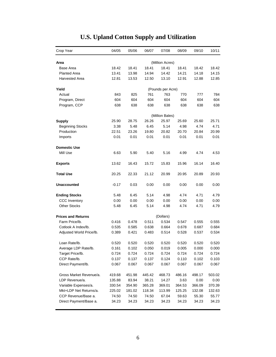| Crop Year                 | 04/05             | 05/06  | 06/07  | 07/08                    | 08/09          | 09/10  | 10/11  |  |  |  |
|---------------------------|-------------------|--------|--------|--------------------------|----------------|--------|--------|--|--|--|
| Area                      | (Million Acres)   |        |        |                          |                |        |        |  |  |  |
| Base Area                 | 18.42             | 18.41  | 18.41  | 18.41                    | 18.41          | 18.42  | 18.42  |  |  |  |
| <b>Planted Area</b>       | 13.41             | 13.98  | 14.94  | 14.42                    | 14.21          | 14.18  | 14.15  |  |  |  |
| Harvested Area            | 12.81             | 13.53  | 12.50  | 13.10                    | 12.91          | 12.88  | 12.85  |  |  |  |
|                           |                   |        |        |                          |                |        |        |  |  |  |
| Yield                     | (Pounds per Acre) |        |        |                          |                |        |        |  |  |  |
| Actual                    | 843               | 825    | 761    | 763                      | 770            | 777    | 784    |  |  |  |
| Program, Direct           | 604               | 604    | 604    | 604                      | 604            | 604    | 604    |  |  |  |
| Program, CCP              | 638               | 638    | 638    | 638                      | 638            | 638    | 638    |  |  |  |
|                           |                   |        |        |                          |                |        |        |  |  |  |
| <b>Supply</b>             | 25.90             | 28.75  | 26.26  | (Million Bales)<br>25.97 | 25.69          | 25.60  | 25.71  |  |  |  |
| <b>Beginning Stocks</b>   | 3.38              | 5.48   | 6.45   | 5.14                     | 4.98           | 4.74   | 4.71   |  |  |  |
| Production                | 22.51             | 23.26  | 19.80  | 20.82                    | 20.70          | 20.84  | 20.99  |  |  |  |
| Imports                   | 0.01              | 0.01   | 0.01   | 0.01                     | 0.01           | 0.01   | 0.01   |  |  |  |
|                           |                   |        |        |                          |                |        |        |  |  |  |
| <b>Domestic Use</b>       |                   |        |        |                          |                |        |        |  |  |  |
| Mill Use                  | 6.63              | 5.90   | 5.40   | 5.16                     | 4.99           | 4.74   | 4.53   |  |  |  |
|                           |                   |        |        |                          |                |        |        |  |  |  |
| <b>Exports</b>            | 13.62             | 16.43  | 15.72  | 15.83                    | 15.96          | 16.14  | 16.40  |  |  |  |
| <b>Total Use</b>          | 20.25             | 22.33  | 21.12  | 20.99                    | 20.95          | 20.89  | 20.93  |  |  |  |
| Unaccounted               | $-0.17$           | 0.03   | 0.00   | 0.00                     | 0.00           | 0.00   | 0.00   |  |  |  |
| <b>Ending Stocks</b>      | 5.48              | 6.45   | 5.14   | 4.98                     | 4.74           | 4.71   | 4.79   |  |  |  |
| <b>CCC Inventory</b>      | 0.00              | 0.00   | 0.00   | 0.00                     | 0.00           | 0.00   | 0.00   |  |  |  |
| <b>Other Stocks</b>       | 5.48              | 6.45   | 5.14   | 4.98                     | 4.74           | 4.71   | 4.79   |  |  |  |
|                           |                   |        |        |                          |                |        |        |  |  |  |
| <b>Prices and Returns</b> |                   |        |        | (Dollars)                |                |        |        |  |  |  |
| Farm Price/lb.            | 0.416             | 0.478  | 0.511  | 0.534                    | 0.547          | 0.555  | 0.555  |  |  |  |
| Cotlook A Index/lb.       | 0.535             | 0.585  | 0.638  | 0.664                    | 0.678          | 0.687  | 0.684  |  |  |  |
| Adjusted World Price/lb.  | 0.389             | 0.421  | 0.483  | 0.514                    | 0.528          | 0.537  | 0.534  |  |  |  |
| Loan Rate/lb.             | 0.520             | 0.520  | 0.520  | 0.520                    | 0.520          | 0.520  | 0.520  |  |  |  |
| Average LDP Rate/lb.      | 0.161             | 0.102  | 0.050  | 0.019                    | 0.005          | 0.000  | 0.000  |  |  |  |
| Target Price/lb.          | 0.724             | 0.724  | 0.724  | 0.724                    | 0.724          | 0.724  | 0.724  |  |  |  |
| CCP Rate/lb.              | 0.137             | 0.137  | 0.137  | 0.124                    | 0.110          | 0.102  | 0.103  |  |  |  |
| Direct Payment/lb.        | 0.067             | 0.067  | 0.067  | 0.067                    | 0.067          | 0.067  | 0.067  |  |  |  |
| Gross Market Revenue/a.   | 419.68            | 451.98 | 445.42 | 468.73                   | 486.16         | 498.17 | 503.02 |  |  |  |
| LDP Revenue/a.            | 135.88            | 83.94  | 38.21  | 14.27                    | 3.63           | 0.00   | 0.00   |  |  |  |
| Variable Expenses/a.      | 330.54            | 354.90 | 365.28 | 369.01                   | 364.53         | 366.09 | 370.39 |  |  |  |
| Mkt+LDP Net Returns/a.    | 225.02            | 181.02 | 118.34 | 113.99                   | 125.25         | 132.08 |        |  |  |  |
| CCP Revenue/Base a.       | 74.50             | 74.50  | 74.50  | 67.04                    |                |        | 132.63 |  |  |  |
|                           |                   |        |        |                          | 59.63<br>34.23 | 55.30  | 55.77  |  |  |  |
| Direct Payment/Base a.    | 34.23             | 34.23  | 34.23  | 34.23                    |                | 34.23  | 34.23  |  |  |  |

# **U.S. Upland Cotton Supply and Utilization**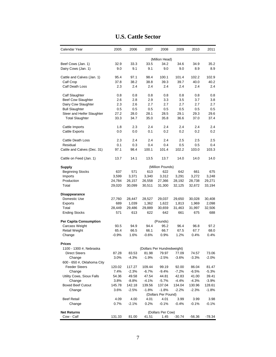| Calendar Year                      | 2005    | 2006    | 2007    | 2008                           | 2009     | 2010     | 2011     |
|------------------------------------|---------|---------|---------|--------------------------------|----------|----------|----------|
|                                    |         |         |         | (Million Head)                 |          |          |          |
| Beef Cows (Jan. 1)                 | 32.9    | 33.3    | 33.5    | 34.2                           | 34.6     | 34.9     | 35.2     |
| Dairy Cows (Jan. 1)                | 9.0     | 9.1     | 9.1     | 9.0                            | 9.0      | 8.9      | 8.9      |
| Cattle and Calves (Jan. 1)         | 95.4    | 97.1    | 98.4    | 100.1                          | 101.4    | 102.2    | 102.9    |
| Calf Crop                          | 37.8    | 38.2    | 38.8    | 39.3                           | 39.7     | 40.0     | 40.2     |
| Calf Death Loss                    | 2.3     | 2.4     | 2.4     | 2.4                            | 2.4      | 2.4      | 2.4      |
| Calf Slaughter                     | 0.8     | 0.8     | 0.8     | 0.8                            | 0.8      | 0.8      | 0.8      |
| <b>Beef Cow Slaughter</b>          | 2.6     | 2.8     | 2.9     | 3.3                            | 3.5      | 3.7      | 3.8      |
| Dairy Cow Slaughter                | 2.3     | 2.6     | 2.7     | 2.7                            | 2.7      | 2.7      | 2.7      |
| <b>Bull Slaughter</b>              | 0.5     | $0.5\,$ | 0.5     | 0.5                            | 0.5      | 0.5      | 0.5      |
| Steer and Heifer Slaughter         | 27.2    | 28.0    | 28.1    | 28.5                           | 29.1     | 29.3     | 29.6     |
| <b>Total Slaughter</b>             | 33.3    | 34.7    | 35.0    | 35.8                           | 36.6     | 37.0     | 37.4     |
| Cattle Imports                     | 1.8     | 2.3     | 2.4     | 2.4                            | 2.4      | 2.4      | 2.4      |
| <b>Cattle Exports</b>              | 0.0     | 0.0     | 0.1     | 0.2                            | 0.2      | 0.2      | 0.2      |
| <b>Cattle Death Loss</b>           | 2.3     | 2.4     | 2.4     | 2.4                            | 2.5      | 2.5      | 2.5      |
| Residual                           | 0.1     | 0.3     | 0.4     | 0.4                            | 0.5      | 0.5      | 0.4      |
| Cattle and Calves (Dec. 31)        | 97.1    | 98.4    | 100.1   | 101.4                          | 102.2    | 103.0    | 103.3    |
| Cattle on Feed (Jan. 1)            | 13.7    | 14.1    | 13.5    | 13.7                           | 14.0     | 14.0     | 14.0     |
| Supply                             |         |         |         | (Million Pounds)               |          |          |          |
| <b>Beginning Stocks</b>            | 637     | 571     | 613     | 622                            | 642      | 661      | 675      |
| Imports                            | 3,599   | 3,371   | 3,340   | 3,312                          | 3,291    | 3,272    | 3,248    |
| Production                         | 24,784  | 26,157  | 26,558  | 27,366                         | 28,192   | 28,738   | 29,271   |
| Total                              | 29,020  | 30,099  | 30,511  | 31,300                         | 32,125   | 32,672   | 33,194   |
| Disappearance                      |         |         |         |                                |          |          |          |
| Domestic Use                       | 27,760  | 28,447  | 28,527  | 29,037                         | 29,650   | 30,028   | 30,408   |
| Exports                            | 689     | 1,039   | 1,362   | 1,622                          | 1,813    | 1,969    | 2,098    |
| Total                              | 28,449  | 29,486  | 29,889  | 30,659                         | 31,463   | 31,997   | 32,506   |
| <b>Ending Stocks</b>               | 571     | 613     | 622     | 642                            | 661      | 675      | 688      |
| Per Capita Consumption             |         |         |         | (Pounds)                       |          |          |          |
| Carcass Weight                     | 93.5    | 94.9    | 94.4    | 95.2                           | 96.4     | 96.8     | 97.2     |
| <b>Retail Weight</b>               | 65.4    | 66.5    | 66.1    | 66.7                           | 67.5     | 67.7     | 68.0     |
| Change                             | $-0.9%$ | 1.6%    | $-0.6%$ | 0.9%                           | 1.2%     | 0.4%     | 0.4%     |
| <b>Prices</b>                      |         |         |         |                                |          |          |          |
| 1100 - 1300 #, Nebraska            |         |         |         | (Dollars Per Hundredweight)    |          |          |          |
| <b>Direct Steers</b>               | 87.28   | 83.53   | 81.98   | 79.97                          | 77.09    | 74.57    | 73.06    |
| Change                             | 3.0%    | $-4.3%$ | $-1.9%$ | $-2.5%$                        | $-3.6%$  | -3.3%    | -2.0%    |
| 600 - 650 #, Oklahoma City         |         |         |         |                                |          |          |          |
| <b>Feeder Steers</b>               | 120.02  | 117.27  | 109.44  | 99.19                          | 92.00    | 86.04    | 81.47    |
| Change                             | 7.4%    | $-2.3%$ | $-6.7%$ | $-9.4%$                        | $-7.2%$  | $-6.5%$  | -5.3%    |
| Utility Cows, Sioux Falls          | 54.36   | 49.58   | 47.54   | 44.81                          | 42.83    | 41.00    | 39.41    |
| Change<br><b>Boxed Beef Cutout</b> | 3.8%    | $-8.8%$ | $-4.1%$ | $-5.7%$                        | $-4.4%$  | $-4.3%$  | $-3.9%$  |
|                                    | 145.78  | 142.18  | 139.56  | 137.04                         | 134.04   | 130.96   | 128.61   |
| Change                             | 3.6%    | $-2.5%$ | $-1.8%$ | $-1.8%$<br>(Dollars Per Pound) | $-2.2%$  | $-2.3%$  | $-1.8%$  |
| <b>Beef Retail</b>                 | 4.09    | 4.00    | 4.01    | 4.01                           | 3.99     | 3.99     | 3.98     |
| Change                             | 0.7%    | $-2.1%$ | 0.2%    | $-0.1%$                        | $-0.4%$  | -0.1%    | $-0.1\%$ |
| <b>Net Returns</b>                 |         |         |         | (Dollars Per Cow)              |          |          |          |
| Cow - Calf                         | 131.33  | 81.00   | 41.51   | 1.45                           | $-30.74$ | $-56.36$ | -78.34   |

### **U.S. Cattle Sector**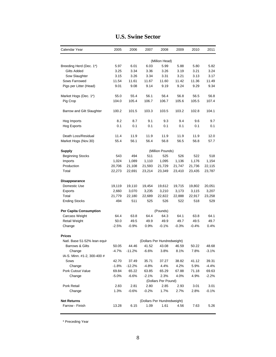| Calendar Year                | 2005    | 2006     | 2007    | 2008                        | 2009    | 2010    | 2011    |
|------------------------------|---------|----------|---------|-----------------------------|---------|---------|---------|
|                              |         |          |         | (Million Head)              |         |         |         |
| Breeding Herd (Dec. 1*)      | 5.97    | 6.01     | 6.03    | 5.99                        | 5.88    | 5.80    | 5.82    |
| Gilts Added                  | 3.25    | 3.34     | 3.36    | 3.26                        | 3.19    | 3.21    | 3.24    |
| Sow Slaughter                | 3.15    | 3.26     | 3.34    | 3.31                        | 3.21    | 3.13    | 3.17    |
| Sows Farrowed                | 11.54   | 11.61    | 11.67   | 11.60                       | 11.42   | 11.36   | 11.49   |
| Pigs per Litter (Head)       | 9.01    | 9.08     | 9.14    | 9.19                        | 9.24    | 9.29    | 9.34    |
| Market Hogs (Dec. 1*)        | 55.0    | 55.4     | 56.1    | 56.4                        | 56.8    | 56.5    | 56.8    |
| Pig Crop                     | 104.0   | 105.4    | 106.7   | 106.7                       | 105.6   | 105.5   | 107.4   |
| Barrow and Gilt Slaughter    | 100.2   | 101.5    | 103.3   | 103.5                       | 103.2   | 102.8   | 104.1   |
| Hog Imports                  | 8.2     | 8.7      | 9.1     | 9.3                         | 9.4     | 9.6     | 9.7     |
| Hog Exports                  | 0.1     | 0.1      | 0.1     | 0.1                         | 0.1     | 0.1     | 0.1     |
| Death Loss/Residual          | 11.4    | 11.9     | 11.9    | 11.9                        | 11.9    | 11.9    | 12.0    |
| Market Hogs (Nov.30)         | 55.4    | 56.1     | 56.4    | 56.8                        | 56.5    | 56.8    | 57.7    |
| <b>Supply</b>                |         |          |         | (Million Pounds)            |         |         |         |
| <b>Beginning Stocks</b>      | 543     | 494      | 511     | 525                         | 526     | 522     | 518     |
| Imports                      | 1,024   | 1,089    | 1,110   | 1,095                       | 1,136   | 1,176   | 1,154   |
| Production                   | 20,706  | 21,108   | 21,593  | 21,729                      | 21,747  | 21,736  | 22,115  |
| Total                        | 22,273  | 22,691   | 23,214  | 23,349                      | 23,410  | 23,435  | 23,787  |
| Disappearance                |         |          |         |                             |         |         |         |
| Domestic Use                 | 19,119  | 19,110   | 19,454  | 19,612                      | 19,715  | 19,802  | 20,051  |
| Exports                      | 2,660   | 3,070    | 3,235   | 3,210                       | 3,173   | 3,115   | 3,207   |
| Total                        | 21,779  | 22,180   | 22,689  | 22,822                      | 22,888  | 22,917  | 23,258  |
| <b>Ending Stocks</b>         | 494     | 511      | 525     | 526                         | 522     | 518     | 529     |
| Per Capita Consumption       |         |          |         | (Pounds)                    |         |         |         |
| Carcass Weight               | 64.4    | 63.8     | 64.4    | 64.3                        | 64.1    | 63.8    | 64.1    |
| Retail Weight                | 50.0    | 49.5     | 49.9    | 49.9                        | 49.7    | 49.5    | 49.7    |
| Change                       | $-2.5%$ | $-0.9%$  | 0.9%    | $-0.1%$                     | $-0.3%$ | $-0.4%$ | 0.4%    |
| <b>Prices</b>                |         |          |         |                             |         |         |         |
| Natl. Base 51-52% lean equiv |         |          |         | (Dollars Per Hundredweight) |         |         |         |
| Barrows & Gilts              | 50.05   | 44.46    | 41.52   | 43.08                       | 46.59   | 50.22   | 48.68   |
| Change                       | $-4.7%$ | $-11.2%$ | $-6.6%$ | 3.8%                        | 8.1%    | 7.8%    | $-3.1%$ |
| IA-S. Minn. #1-2, 300-400 #  |         |          |         |                             |         |         |         |
| Sows                         | 42.70   | 37.49    | 35.71   | 37.27                       | 38.82   | 41.12   | 39.31   |
| Change                       | $-1.8%$ | $-12.2%$ | -4.8%   | 4.4%                        | 4.2%    | 5.9%    | $-4.4%$ |
| Pork Cutout Value            | 69.84   | 65.22    | 63.85   | 65.29                       | 67.88   | 71.18   | 69.63   |
| Change                       | $-5.0%$ | $-6.6%$  | $-2.1%$ | 2.3%<br>(Dollars Per Pound) | 4.0%    | 4.9%    | $-2.2%$ |
| Pork Retail                  | 2.83    | 2.81     | 2.80    | 2.85                        | 2.93    | 3.01    | 3.01    |
| Change                       | 1.3%    | $-0.6%$  | $-0.2%$ | 1.7%                        | 2.7%    | 2.8%    | $-0.1%$ |
| <b>Net Returns</b>           |         |          |         | (Dollars Per Hundredweight) |         |         |         |
| Farrow - Finish              | 13.28   | 6.15     | 1.09    | 1.61                        | 4.56    | 7.63    | 5.26    |

#### **U.S. Swine Sector**

\* Preceding Year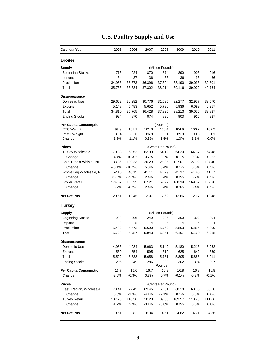| Calendar Year                 | 2005     | 2006     | 2007    | 2008              | 2009    | 2010    | 2011    |
|-------------------------------|----------|----------|---------|-------------------|---------|---------|---------|
| <b>Broiler</b>                |          |          |         |                   |         |         |         |
| <b>Supply</b>                 |          |          |         | (Million Pounds)  |         |         |         |
| <b>Beginning Stocks</b>       | 713      | 924      | 870     | 874               | 890     | 903     | 916     |
| Imports                       | 34       | 37       | 36      | 36                | 36      | 36      | 36      |
| Production                    | 34,986   | 35,673   | 36,396  | 37,304            | 38,190  | 39,033  | 39,801  |
| Total                         | 35,733   | 36,634   | 37,302  | 38,214            | 39,116  | 39,972  | 40,754  |
| Disappearance                 |          |          |         |                   |         |         |         |
| Domestic Use                  | 29,662   | 30,282   | 30,776  | 31,535            | 32,277  | 32,957  | 33,570  |
| Exports                       | 5,148    | 5,483    | 5,652   | 5,790             | 5,936   | 6,099   | 6,257   |
| Total                         | 34,810   | 35,765   | 36,428  | 37,325            | 38,213  | 39,056  | 39,827  |
| <b>Ending Stocks</b>          | 924      | 870      | 874     | 890               | 903     | 916     | 927     |
| <b>Per Capita Consumption</b> |          |          |         | (Pounds)          |         |         |         |
| <b>RTC Weight</b>             | 99.9     | 101.1    | 101.8   | 103.4             | 104.9   | 106.2   | 107.3   |
| <b>Retail Weight</b>          | 85.4     | 86.3     | 86.8    | 88.1              | 89.3    | 90.3    | 91.1    |
| Change                        | 1.8%     | 1.1%     | 0.6%    | 1.5%              | 1.3%    | 1.1%    | 0.9%    |
| <b>Prices</b>                 |          |          |         | (Cents Per Pound) |         |         |         |
| 12 City Wholesale             | 70.83    | 63.52    | 63.99   | 64.12             | 64.20   | 64.37   | 64.48   |
| Change                        | $-4.4%$  | $-10.3%$ | 0.7%    | 0.2%              | 0.1%    | 0.3%    | 0.2%    |
| Bnls. Breast Whlsle., NE      | 133.86   | 120.23   | 126.29  | 126.85            | 127.01  | 127.02  | 127.40  |
| Change                        | $-26.1%$ | $-10.2%$ | 5.0%    | 0.4%              | 0.1%    | $0.0\%$ | 0.3%    |
| Whole Leg Wholesale, NE       | 52.10    | 40.15    | 41.11   | 41.29             | 41.37   | 41.46   | 41.57   |
| Change                        | 20.0%    | $-22.9%$ | 2.4%    | 0.4%              | 0.2%    | 0.2%    | 0.3%    |
| <b>Broiler Retail</b>         | 174.07   | 163.35   | 167.21  | 167.92            | 168.39  | 169.02  | 169.90  |
| Change                        | 0.7%     | $-6.2%$  | 2.4%    | 0.4%              | 0.3%    | 0.4%    | 0.5%    |
| <b>Net Returns</b>            | 20.61    | 13.45    | 13.07   | 12.62             | 12.66   | 12.67   | 12.48   |
| Turkey                        |          |          |         |                   |         |         |         |
| <b>Supply</b>                 |          |          |         | (Million Pounds)  |         |         |         |
| Beginning Stocks              | 288      | 206      | 249     | 286               | 300     | 302     | 304     |
| Imports                       | 8        | 8        | 4       | 4                 | 4       | 4       | 4       |
| Production                    | 5,432    | 5,573    | 5,690   | 5,762             | 5,803   | 5,854   | 5,909   |
| Total                         | 5,728    | 5,787    | 5,943   | 6,051             | 6,107   | 6,160   | 6,218   |
| <b>Disappearance</b>          |          |          |         |                   |         |         |         |
| Domestic Use                  | 4,953    | 4,984    | 5,063   | 5,142             | 5,180   | 5,213   | 5,252   |
| Exports                       | 569      | 554      | 595     | 610               | 625     | 642     | 659     |
| Total                         | 5,522    | 5,538    | 5,658   | 5,751             | 5,805   | 5,855   | 5,911   |
| <b>Ending Stocks</b>          | 206      | 249      | 286     | 300               | 302     | 304     | 307     |
|                               |          |          |         | (Pounds)          |         |         |         |
| <b>Per Capita Consumption</b> | 16.7     | 16.6     | 16.7    | 16.9              | 16.8    | 16.8    | 16.8    |
| Change                        | $-2.0%$  | $-0.3%$  | 0.7%    | 0.7%              | $-0.1%$ | $-0.2%$ | $-0.1%$ |
| <b>Prices</b>                 |          |          |         | (Cents Per Pound) |         |         |         |
| East. Region, Wholesale       | 73.41    | 72.42    | 69.45   | 68.01             | 68.10   | 68.30   | 68.68   |
| Change                        | 5.3%     | $-1.3%$  | $-4.1%$ | $-2.1%$           | 0.1%    | 0.3%    | 0.6%    |
| <b>Turkey Retail</b>          | 107.23   | 110.36   | 110.23  | 109.36            | 109.57  | 110.23  | 111.06  |
| Change                        | $-1.7%$  | 2.9%     | $-0.1%$ | $-0.8%$           | 0.2%    | 0.6%    | 0.8%    |
| <b>Net Returns</b>            | 10.61    | 9.82     | 6.34    | 4.51              | 4.62    | 4.71    | 4.86    |

## **U.S. Poultry Supply and Use**